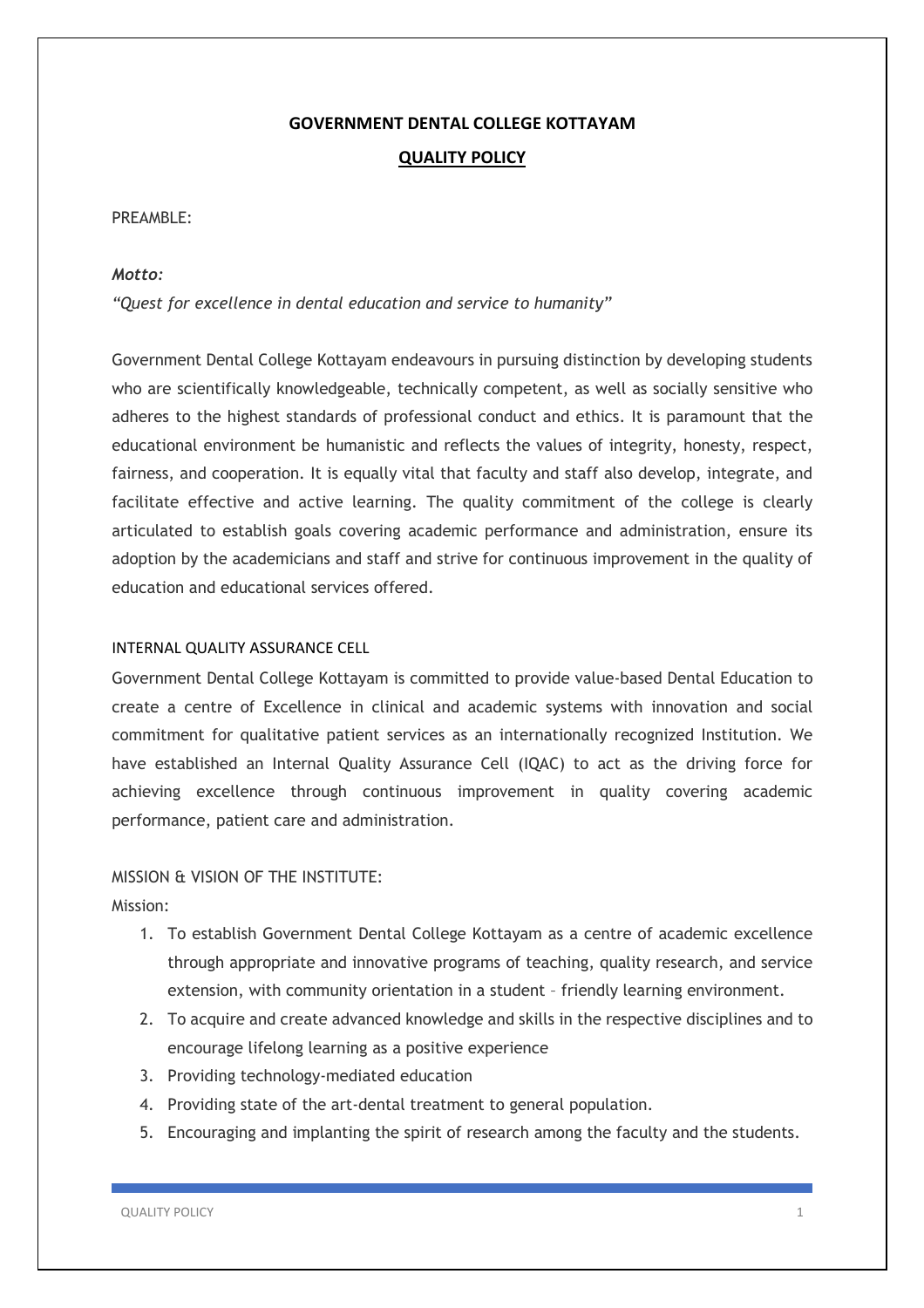# **GOVERNMENT DENTAL COLLEGE KOTTAYAM QUALITY POLICY**

### PRFAMBLE:

## *Motto:*

*"Quest for excellence in dental education and service to humanity"*

Government Dental College Kottayam endeavours in pursuing distinction by developing students who are scientifically knowledgeable, technically competent, as well as socially sensitive who adheres to the highest standards of professional conduct and ethics. It is paramount that the educational environment be humanistic and reflects the values of integrity, honesty, respect, fairness, and cooperation. It is equally vital that faculty and staff also develop, integrate, and facilitate effective and active learning. The quality commitment of the college is clearly articulated to establish goals covering academic performance and administration, ensure its adoption by the academicians and staff and strive for continuous improvement in the quality of education and educational services offered.

## INTERNAL QUALITY ASSURANCE CELL

Government Dental College Kottayam is committed to provide value-based Dental Education to create a centre of Excellence in clinical and academic systems with innovation and social commitment for qualitative patient services as an internationally recognized Institution. We have established an Internal Quality Assurance Cell (IQAC) to act as the driving force for achieving excellence through continuous improvement in quality covering academic performance, patient care and administration.

# MISSION & VISION OF THE INSTITUTE:

Mission:

- 1. To establish Government Dental College Kottayam as a centre of academic excellence through appropriate and innovative programs of teaching, quality research, and service extension, with community orientation in a student – friendly learning environment.
- 2. To acquire and create advanced knowledge and skills in the respective disciplines and to encourage lifelong learning as a positive experience
- 3. Providing technology-mediated education
- 4. Providing state of the art-dental treatment to general population.
- 5. Encouraging and implanting the spirit of research among the faculty and the students.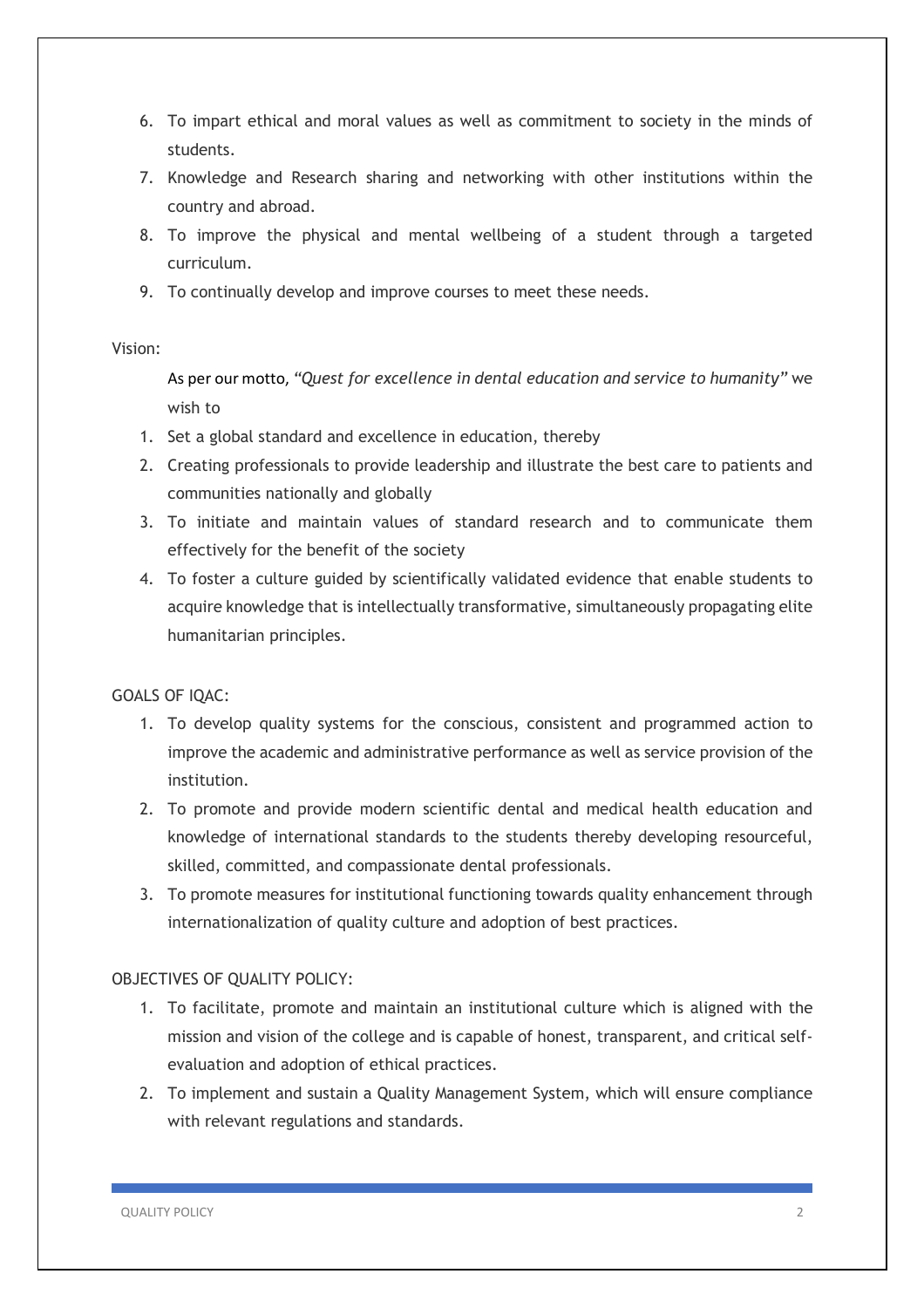- 6. To impart ethical and moral values as well as commitment to society in the minds of students.
- 7. Knowledge and Research sharing and networking with other institutions within the country and abroad.
- 8. To improve the physical and mental wellbeing of a student through a targeted curriculum.
- 9. To continually develop and improve courses to meet these needs.

## Vision:

As per our motto, *"Quest for excellence in dental education and service to humanity"* we wish to

- 1. Set a global standard and excellence in education, thereby
- 2. Creating professionals to provide leadership and illustrate the best care to patients and communities nationally and globally
- 3. To initiate and maintain values of standard research and to communicate them effectively for the benefit of the society
- 4. To foster a culture guided by scientifically validated evidence that enable students to acquire knowledge that is intellectually transformative, simultaneously propagating elite humanitarian principles.

# GOALS OF IQAC:

- 1. To develop quality systems for the conscious, consistent and programmed action to improve the academic and administrative performance as well as service provision of the institution.
- 2. To promote and provide modern scientific dental and medical health education and knowledge of international standards to the students thereby developing resourceful, skilled, committed, and compassionate dental professionals.
- 3. To promote measures for institutional functioning towards quality enhancement through internationalization of quality culture and adoption of best practices.

# OBJECTIVES OF QUALITY POLICY:

- 1. To facilitate, promote and maintain an institutional culture which is aligned with the mission and vision of the college and is capable of honest, transparent, and critical selfevaluation and adoption of ethical practices.
- 2. To implement and sustain a Quality Management System, which will ensure compliance with relevant regulations and standards.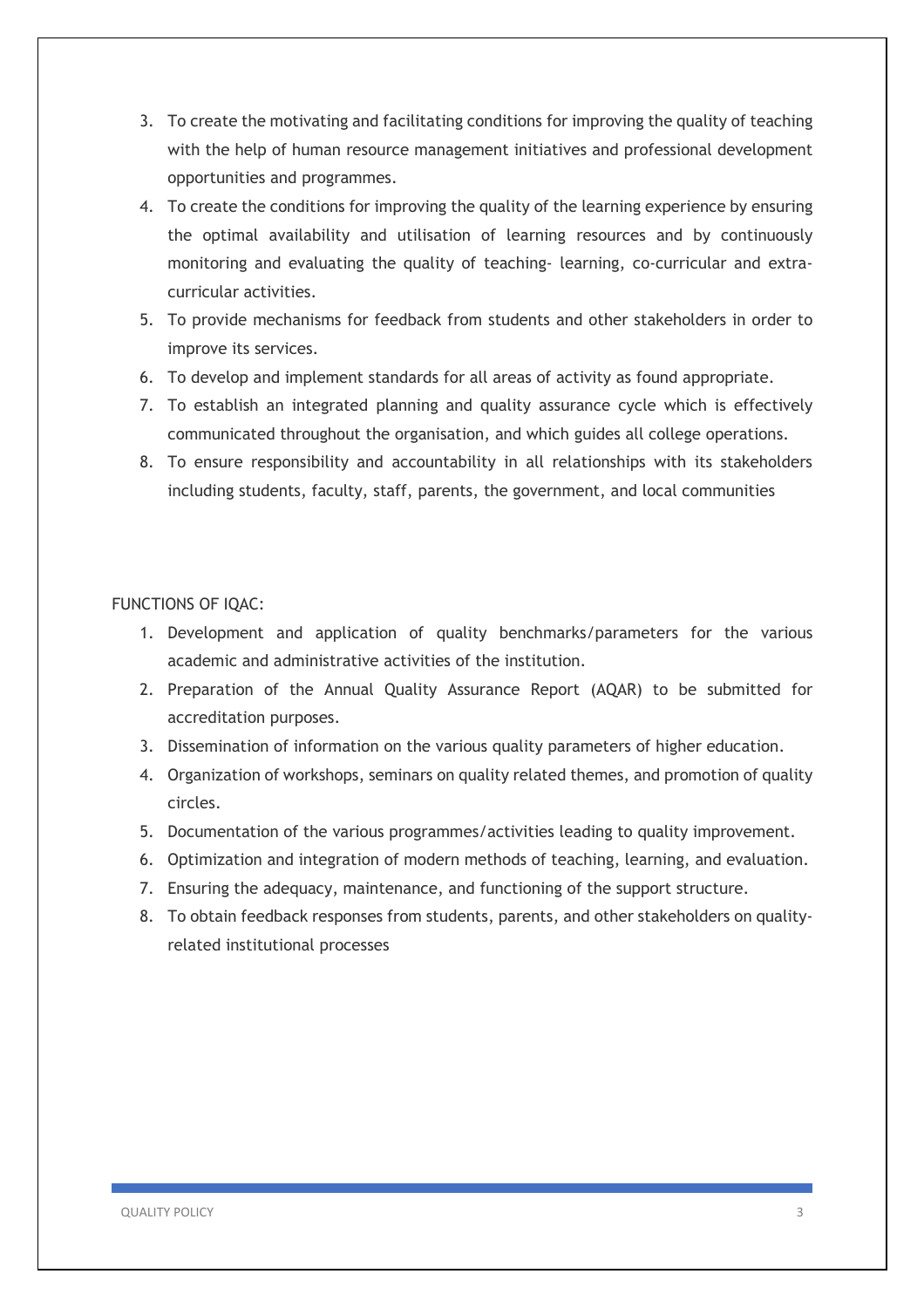- 3. To create the motivating and facilitating conditions for improving the quality of teaching with the help of human resource management initiatives and professional development opportunities and programmes.
- 4. To create the conditions for improving the quality of the learning experience by ensuring the optimal availability and utilisation of learning resources and by continuously monitoring and evaluating the quality of teaching- learning, co-curricular and extracurricular activities.
- 5. To provide mechanisms for feedback from students and other stakeholders in order to improve its services.
- 6. To develop and implement standards for all areas of activity as found appropriate.
- 7. To establish an integrated planning and quality assurance cycle which is effectively communicated throughout the organisation, and which guides all college operations.
- 8. To ensure responsibility and accountability in all relationships with its stakeholders including students, faculty, staff, parents, the government, and local communities

### FUNCTIONS OF IQAC:

- 1. Development and application of quality benchmarks/parameters for the various academic and administrative activities of the institution.
- 2. Preparation of the Annual Quality Assurance Report (AQAR) to be submitted for accreditation purposes.
- 3. Dissemination of information on the various quality parameters of higher education.
- 4. Organization of workshops, seminars on quality related themes, and promotion of quality circles.
- 5. Documentation of the various programmes/activities leading to quality improvement.
- 6. Optimization and integration of modern methods of teaching, learning, and evaluation.
- 7. Ensuring the adequacy, maintenance, and functioning of the support structure.
- 8. To obtain feedback responses from students, parents, and other stakeholders on qualityrelated institutional processes